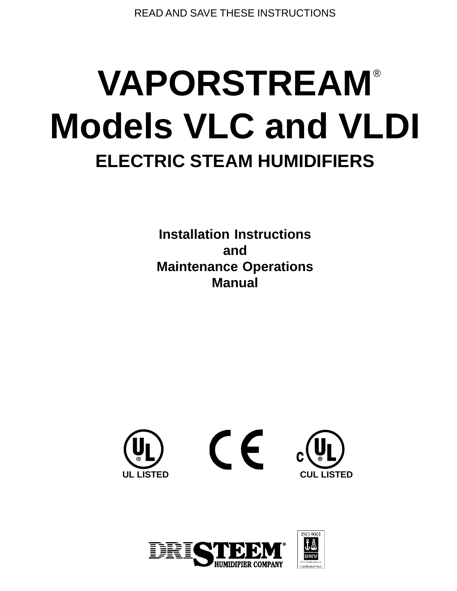READ AND SAVE THESE INSTRUCTIONS

# **VAPORSTREAM** ® **Models VLC and VLDI ELECTRIC STEAM HUMIDIFIERS**

**Installation Instructions and Maintenance Operations Manual**



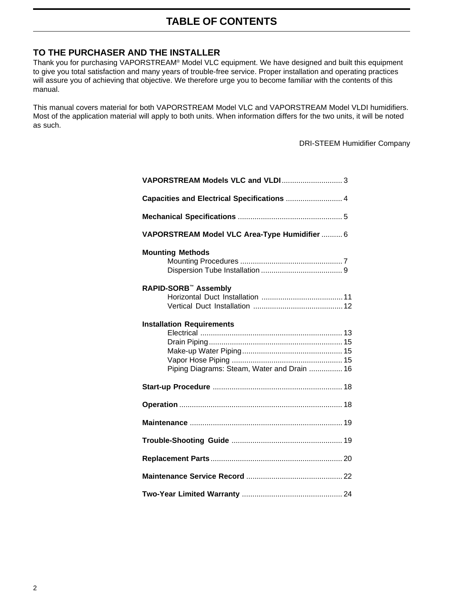## **TABLE OF CONTENTS**

#### **TO THE PURCHASER AND THE INSTALLER**

Thank you for purchasing VAPORSTREAM® Model VLC equipment. We have designed and built this equipment to give you total satisfaction and many years of trouble-free service. Proper installation and operating practices will assure you of achieving that objective. We therefore urge you to become familiar with the contents of this manual.

This manual covers material for both VAPORSTREAM Model VLC and VAPORSTREAM Model VLDI humidifiers. Most of the application material will apply to both units. When information differs for the two units, it will be noted as such.

DRI-STEEM Humidifier Company

| VAPORSTREAM Models VLC and VLDI 3                                               |  |  |  |  |  |
|---------------------------------------------------------------------------------|--|--|--|--|--|
| Capacities and Electrical Specifications  4                                     |  |  |  |  |  |
|                                                                                 |  |  |  |  |  |
| VAPORSTREAM Model VLC Area-Type Humidifier  6                                   |  |  |  |  |  |
| <b>Mounting Methods</b>                                                         |  |  |  |  |  |
| <b>RAPID-SORB™ Assembly</b>                                                     |  |  |  |  |  |
| <b>Installation Requirements</b><br>Piping Diagrams: Steam, Water and Drain  16 |  |  |  |  |  |
|                                                                                 |  |  |  |  |  |
|                                                                                 |  |  |  |  |  |
|                                                                                 |  |  |  |  |  |
|                                                                                 |  |  |  |  |  |
|                                                                                 |  |  |  |  |  |
|                                                                                 |  |  |  |  |  |
|                                                                                 |  |  |  |  |  |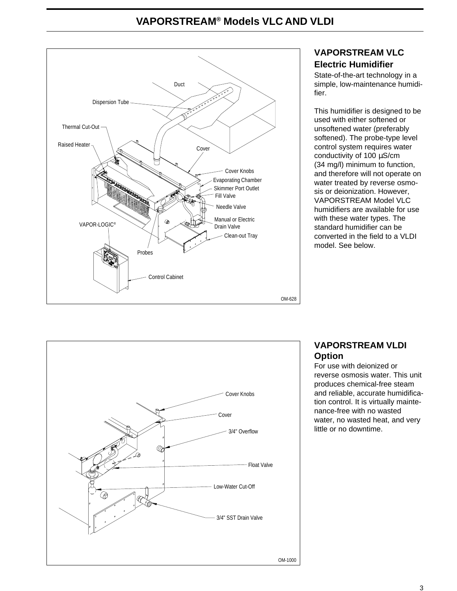## **VAPORSTREAM® Models VLC AND VLDI**



## **VAPORSTREAM VLC Electric Humidifier**

State-of-the-art technology in a simple, low-maintenance humidifier.

This humidifier is designed to be used with either softened or unsoftened water (preferably softened). The probe-type level control system requires water conductivity of 100 µS/cm (34 mg/l) minimum to function, and therefore will not operate on water treated by reverse osmosis or deionization. However, VAPORSTREAM Model VLC humidifiers are available for use with these water types. The standard humidifier can be converted in the field to a VLDI model. See below.



## **VAPORSTREAM VLDI Option**

For use with deionized or reverse osmosis water. This unit produces chemical-free steam and reliable, accurate humidification control. It is virtually maintenance-free with no wasted water, no wasted heat, and very little or no downtime.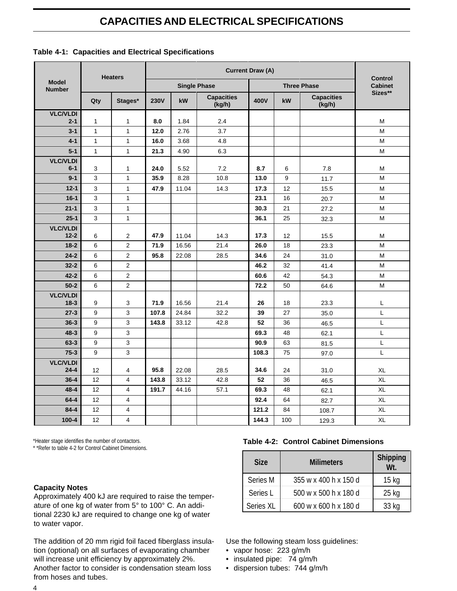## **CAPACITIES AND ELECTRICAL SPECIFICATIONS**

|                               | <b>Heaters</b>               | <b>Current Draw (A)</b>      |              |                     |                             |       | <b>Control</b> |                             |                |  |
|-------------------------------|------------------------------|------------------------------|--------------|---------------------|-----------------------------|-------|----------------|-----------------------------|----------------|--|
| <b>Model</b><br><b>Number</b> |                              |                              |              | <b>Single Phase</b> |                             |       |                | <b>Three Phase</b>          | <b>Cabinet</b> |  |
|                               | Qty                          | Stages*                      | <b>230V</b>  | kW                  | <b>Capacities</b><br>(kg/h) | 400V  | kW             | <b>Capacities</b><br>(kg/h) | Sizes**        |  |
| <b>VLC/VLDI</b>               |                              |                              |              |                     |                             |       |                |                             |                |  |
| $2 - 1$                       | $\mathbf{1}$                 | $\mathbf{1}$                 | 8.0          | 1.84                | 2.4                         |       |                |                             | M              |  |
| $3 - 1$<br>$4 - 1$            | $\mathbf{1}$<br>$\mathbf{1}$ | $\mathbf{1}$<br>$\mathbf{1}$ | 12.0<br>16.0 | 2.76<br>3.68        | 3.7<br>4.8                  |       |                |                             | M<br>M         |  |
| $5 - 1$                       | $\mathbf{1}$                 | $\mathbf{1}$                 | 21.3         | 4.90                | 6.3                         |       |                |                             | M              |  |
| <b>VLC/VLDI</b>               |                              |                              |              |                     |                             |       |                |                             |                |  |
| $6-1$                         | 3                            | $\mathbf{1}$                 | 24.0         | 5.52                | 7.2                         | 8.7   | 6              | 7.8                         | М              |  |
| $9 - 1$                       | 3                            | $\mathbf{1}$                 | 35.9         | 8.28                | 10.8                        | 13.0  | 9              | 11.7                        | M              |  |
| $12 - 1$                      | 3                            | $\mathbf{1}$                 | 47.9         | 11.04               | 14.3                        | 17.3  | 12             | 15.5                        | M              |  |
| $16-1$                        | 3                            | $\mathbf{1}$                 |              |                     |                             | 23.1  | 16             | 20.7                        | M              |  |
| $21 - 1$                      | 3                            | $\mathbf{1}$                 |              |                     |                             | 30.3  | 21             | 27.2                        | M              |  |
| $25 - 1$                      | $\mathsf 3$                  | $\mathbf{1}$                 |              |                     |                             | 36.1  | 25             | 32.3                        | M              |  |
| <b>VLC/VLDI</b>               |                              |                              |              |                     |                             |       |                |                             |                |  |
| $12 - 2$                      | 6                            | $\mathbf{2}$                 | 47.9         | 11.04               | 14.3                        | 17.3  | 12             | 15.5                        | м              |  |
| $18-2$                        | 6                            | $\overline{c}$               | 71.9         | 16.56               | 21.4                        | 26.0  | 18             | 23.3                        | M              |  |
| $24 - 2$                      | 6                            | $\overline{c}$               | 95.8         | 22.08               | 28.5                        | 34.6  | 24             | 31.0                        | M              |  |
| $32 - 2$                      | 6                            | $\overline{c}$               |              |                     |                             | 46.2  | 32             | 41.4                        | M              |  |
| $42 - 2$                      | 6                            | $\overline{2}$               |              |                     |                             | 60.6  | 42             | 54.3                        | M              |  |
| $50-2$                        | 6                            | $\overline{2}$               |              |                     |                             | 72.2  | 50             | 64.6                        | M              |  |
| <b>VLC/VLDI</b><br>$18 - 3$   | 9                            | 3                            | 71.9         | 16.56               | 21.4                        | 26    | 18             | 23.3                        | Г              |  |
| $27-3$                        | 9                            | 3                            | 107.8        | 24.84               | 32.2                        | 39    | 27             | 35.0                        | L              |  |
| $36 - 3$                      | 9                            | 3                            | 143.8        | 33.12               | 42.8                        | 52    | 36             | 46.5                        | L              |  |
| $48 - 3$                      | 9                            | $\mathbf{3}$                 |              |                     |                             | 69.3  | 48             | 62.1                        | Г              |  |
| $63 - 3$                      | 9                            | 3                            |              |                     |                             | 90.9  | 63             | 81.5                        | L              |  |
| $75-3$                        | 9                            | 3                            |              |                     |                             | 108.3 | 75             | 97.0                        | L              |  |
| <b>VLC/VLDI</b>               |                              |                              |              |                     |                             |       |                |                             |                |  |
| $24 - 4$                      | 12                           | 4                            | 95.8         | 22.08               | 28.5                        | 34.6  | 24             | 31.0                        | XL             |  |
| $36 - 4$                      | 12                           | $\overline{4}$               | 143.8        | 33.12               | 42.8                        | 52    | 36             | 46.5                        | <b>XL</b>      |  |
| $48 - 4$                      | 12                           | $\overline{4}$               | 191.7        | 44.16               | 57.1                        | 69.3  | 48             | 62.1                        | XL             |  |
| $64 - 4$                      | 12                           | $\overline{4}$               |              |                     |                             | 92.4  | 64             | 82.7                        | XL             |  |
| $84 - 4$                      | 12                           | $\overline{4}$               |              |                     |                             | 121.2 | 84             | 108.7                       | XL             |  |
| $100 - 4$                     | 12                           | $\overline{4}$               |              |                     |                             | 144.3 | 100            | 129.3                       | <b>XL</b>      |  |

\*Heater stage identifies the number of contactors.

\* \*Refer to table 4-2 for Control Cabinet Dimensions.

#### **Capacity Notes**

Approximately 400 kJ are required to raise the temperature of one kg of water from 5° to 100° C. An additional 2230 kJ are required to change one kg of water to water vapor.

The addition of 20 mm rigid foil faced fiberglass insulation (optional) on all surfaces of evaporating chamber will increase unit efficiency by approximately 2%. Another factor to consider is condensation steam loss from hoses and tubes.

#### **Table 4-2: Control Cabinet Dimensions**

| <b>Size</b> | <b>Milimeters</b>     | <b>Shipping</b><br>Wt. |
|-------------|-----------------------|------------------------|
| Series M    | 355 w x 400 h x 150 d | 15 <sub>kg</sub>       |
| Series L    | 500 w x 500 h x 180 d | $25$ kg                |
| Series XL   | 600 w x 600 h x 180 d | 33 kg                  |

Use the following steam loss guidelines:

- vapor hose: 223 g/m/h
- insulated pipe: 74 g/m/h
- dispersion tubes: 744 g/m/h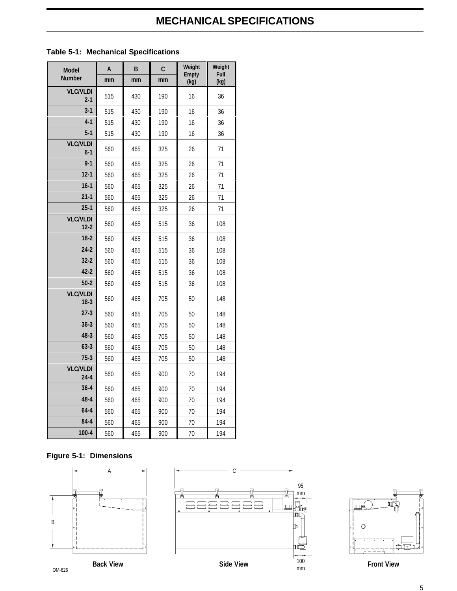## **MECHANICAL SPECIFICATIONS**

| <b>Model</b>                | A   | B   | C   | Weight<br><b>Empty</b> | Weight<br>Full |
|-----------------------------|-----|-----|-----|------------------------|----------------|
| <b>Number</b>               | mm  | mm  | mm  | (kg)                   | (kg)           |
| <b>VLC/VLDI</b><br>$2 - 1$  | 515 | 430 | 190 | 16                     | 36             |
| $3 - 1$                     | 515 | 430 | 190 | 16                     | 36             |
| $4-1$                       | 515 | 430 | 190 | 16                     | 36             |
| $5-1$                       | 515 | 430 | 190 | 16                     | 36             |
| <b>VLC/VLDI</b><br>$6 - 1$  | 560 | 465 | 325 | 26                     | 71             |
| $9 - 1$                     | 560 | 465 | 325 | 26                     | 71             |
| $12-1$                      | 560 | 465 | 325 | 26                     | 71             |
| $16-1$                      | 560 | 465 | 325 | 26                     | 71             |
| $21-1$                      | 560 | 465 | 325 | 26                     | 71             |
| $25-1$                      | 560 | 465 | 325 | 26                     | 71             |
| <b>VLC/VLDI</b><br>$12 - 2$ | 560 | 465 | 515 | 36                     | 108            |
| $18-2$                      | 560 | 465 | 515 | 36                     | 108            |
| $24 - 2$                    | 560 | 465 | 515 | 36                     | 108            |
| $32 - 2$                    | 560 | 465 | 515 | 36                     | 108            |
| $42 - 2$                    | 560 | 465 | 515 | 36                     | 108            |
| $50 - 2$                    | 560 | 465 | 515 | 36                     | 108            |
| <b>VLC/VLDI</b><br>$18-3$   | 560 | 465 | 705 | 50                     | 148            |
| $27-3$                      | 560 | 465 | 705 | 50                     | 148            |
| $36 - 3$                    | 560 | 465 | 705 | 50                     | 148            |
| 48-3                        | 560 | 465 | 705 | 50                     | 148            |
| $63-3$                      | 560 | 465 | 705 | 50                     | 148            |
| $75-3$                      | 560 | 465 | 705 | 50                     | 148            |
| <b>VLC/VLDI</b><br>$24 - 4$ | 560 | 465 | 900 | 70                     | 194            |
| $36 - 4$                    | 560 | 465 | 900 | 70                     | 194            |
| 48-4                        | 560 | 465 | 900 | 70                     | 194            |
| $64 - 4$                    | 560 | 465 | 900 | 70                     | 194            |
| 84-4                        | 560 | 465 | 900 | 70                     | 194            |
| $100 - 4$                   | 560 | 465 | 900 | 70                     | 194            |

#### **Table 5-1: Mechanical Specifications**

#### **Figure 5-1: Dimensions**





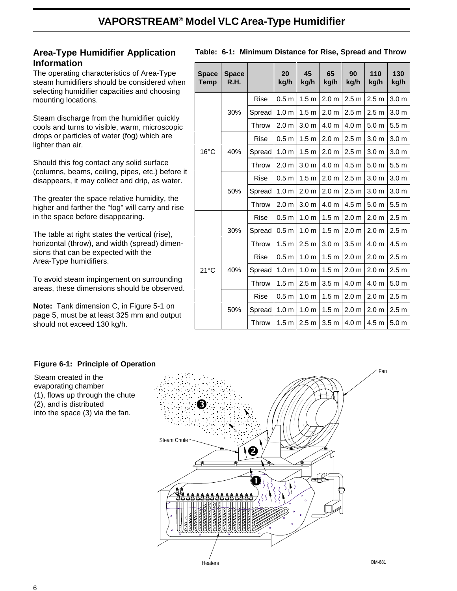## **Area-Type Humidifier Application Information**

The operating characteristics of Area-Type steam humidifiers should be considered when selecting humidifier capacities and choosing mounting locations.

Steam discharge from the humidifier quickly cools and turns to visible, warm, microscopic drops or particles of water (fog) which are lighter than air.

Should this fog contact any solid surface (columns, beams, ceiling, pipes, etc.) before it disappears, it may collect and drip, as water.

The greater the space relative humidity, the higher and farther the "fog" will carry and rise in the space before disappearing.

The table at right states the vertical (rise), horizontal (throw), and width (spread) dimensions that can be expected with the Area-Type humidifiers.

To avoid steam impingement on surrounding areas, these dimensions should be observed.

**Note:** Tank dimension C, in Figure 5-1 on page 5, must be at least 325 mm and output should not exceed 130 kg/h.

Steam created in the evaporating chamber

(2), and is distributed

(1), flows up through the chute

into the space (3) via the fan.

| <b>Space</b><br><b>Temp</b> | <b>Space</b><br>R.H. |             | 20<br>kg/h       | 45<br>kg/h       | 65<br>kg/h       | 90<br>kg/h       | 110<br>kg/h      | 130<br>kg/h      |
|-----------------------------|----------------------|-------------|------------------|------------------|------------------|------------------|------------------|------------------|
|                             |                      | <b>Rise</b> | 0.5 <sub>m</sub> | 1.5 <sub>m</sub> | 2.0 <sub>m</sub> | 2.5 <sub>m</sub> | 2.5 <sub>m</sub> | 3.0 <sub>m</sub> |
|                             | 30%                  | Spread      | 1.0 <sub>m</sub> | 1.5 <sub>m</sub> | 2.0 <sub>m</sub> | 2.5 <sub>m</sub> | 2.5 <sub>m</sub> | 3.0 <sub>m</sub> |
|                             |                      | Throw       | 2.0 <sub>m</sub> | 3.0 <sub>m</sub> | 4.0 <sub>m</sub> | 4.0 <sub>m</sub> | 5.0 <sub>m</sub> | 5.5 <sub>m</sub> |
|                             |                      | <b>Rise</b> | 0.5 <sub>m</sub> | 1.5 <sub>m</sub> | 2.0 <sub>m</sub> | 2.5 <sub>m</sub> | 3.0 <sub>m</sub> | 3.0 <sub>m</sub> |
| 16°C                        | 40%                  | Spread      | 1.0 <sub>m</sub> | 1.5 <sub>m</sub> | 2.0 <sub>m</sub> | 2.5 <sub>m</sub> | 3.0 <sub>m</sub> | 3.0 <sub>m</sub> |
|                             |                      | Throw       | 2.0 <sub>m</sub> | 3.0 <sub>m</sub> | 4.0 <sub>m</sub> | 4.5 m            | 5.0 <sub>m</sub> | 5.5 <sub>m</sub> |
|                             |                      | Rise        | 0.5 <sub>m</sub> | 1.5 <sub>m</sub> | 2.0 <sub>m</sub> | 2.5 <sub>m</sub> | 3.0 <sub>m</sub> | 3.0 <sub>m</sub> |
|                             | 50%                  | Spread      | 1.0 <sub>m</sub> | 2.0 <sub>m</sub> | 2.0 <sub>m</sub> | 2.5 <sub>m</sub> | 3.0 <sub>m</sub> | 3.0 <sub>m</sub> |
|                             |                      | Throw       | 2.0 <sub>m</sub> | 3.0 <sub>m</sub> | 4.0 <sub>m</sub> | 4.5 <sub>m</sub> | 5.0 <sub>m</sub> | 5.5 <sub>m</sub> |
|                             |                      | <b>Rise</b> | 0.5 <sub>m</sub> | 1.0 <sub>m</sub> | 1.5 <sub>m</sub> | 2.0 <sub>m</sub> | 2.0 <sub>m</sub> | 2.5 <sub>m</sub> |
|                             | 30%                  | Spread      | 0.5 <sub>m</sub> | 1.0 <sub>m</sub> | 1.5 <sub>m</sub> | 2.0 <sub>m</sub> | 2.0 <sub>m</sub> | 2.5 <sub>m</sub> |
|                             |                      | Throw       | 1.5 <sub>m</sub> | 2.5 <sub>m</sub> | 3.0 <sub>m</sub> | 3.5 <sub>m</sub> | 4.0 m            | 4.5 <sub>m</sub> |
| $21^{\circ}$ C              |                      | <b>Rise</b> | 0.5 <sub>m</sub> | 1.0 <sub>m</sub> | 1.5 <sub>m</sub> | 2.0 <sub>m</sub> | 2.0 <sub>m</sub> | 2.5 <sub>m</sub> |
|                             | 40%                  | Spread      | 1.0 <sub>m</sub> | 1.0 <sub>m</sub> | 1.5 <sub>m</sub> | 2.0 <sub>m</sub> | 2.0 <sub>m</sub> | 2.5 <sub>m</sub> |
|                             |                      | Throw       | 1.5 <sub>m</sub> | 2.5 <sub>m</sub> | 3.5 <sub>m</sub> | 4.0 <sub>m</sub> | 4.0 m            | 5.0 <sub>m</sub> |
|                             |                      | Rise        | 0.5 <sub>m</sub> | 1.0 <sub>m</sub> | 1.5 <sub>m</sub> | 2.0 <sub>m</sub> | 2.0 <sub>m</sub> | 2.5 <sub>m</sub> |
|                             | 50%                  | Spread      | 1.0 <sub>m</sub> | 1.0 <sub>m</sub> | 1.5 <sub>m</sub> | 2.0 <sub>m</sub> | 2.0 <sub>m</sub> | 2.5 <sub>m</sub> |

Throw | 1.5 m | 2.5 m | 3.5 m | 4.0 m | 4.5 m | 5.0 m

#### **Table: 6-1: Minimum Distance for Rise, Spread and Throw**

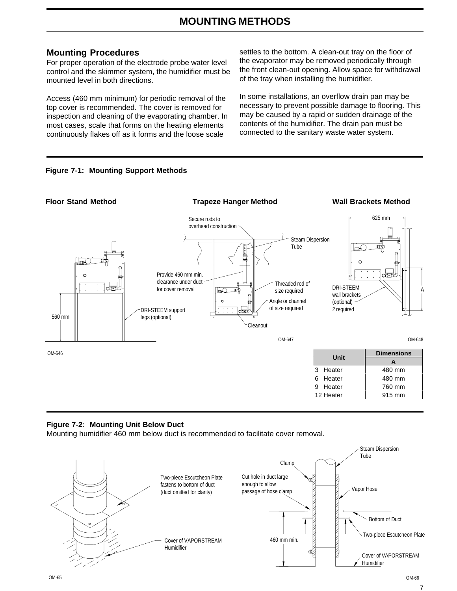## **MOUNTING METHODS**

#### **Mounting Procedures**

For proper operation of the electrode probe water level control and the skimmer system, the humidifier must be mounted level in both directions.

Access (460 mm minimum) for periodic removal of the top cover is recommended. The cover is removed for inspection and cleaning of the evaporating chamber. In most cases, scale that forms on the heating elements continuously flakes off as it forms and the loose scale

settles to the bottom. A clean-out tray on the floor of the evaporator may be removed periodically through the front clean-out opening. Allow space for withdrawal of the tray when installing the humidifier.

In some installations, an overflow drain pan may be necessary to prevent possible damage to flooring. This may be caused by a rapid or sudden drainage of the contents of the humidifier. The drain pan must be connected to the sanitary waste water system.





#### **Figure 7-2: Mounting Unit Below Duct**

Mounting humidifier 460 mm below duct is recommended to facilitate cover removal.



7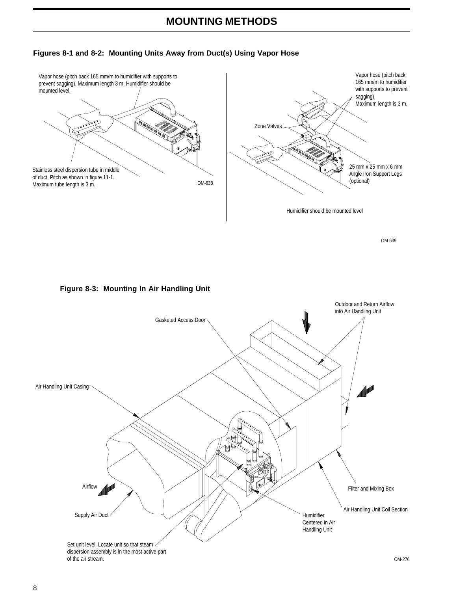## **MOUNTING METHODS**

#### **Figures 8-1 and 8-2: Mounting Units Away from Duct(s) Using Vapor Hose**



OM-639





dispersion assembly is in the most active part of the air stream.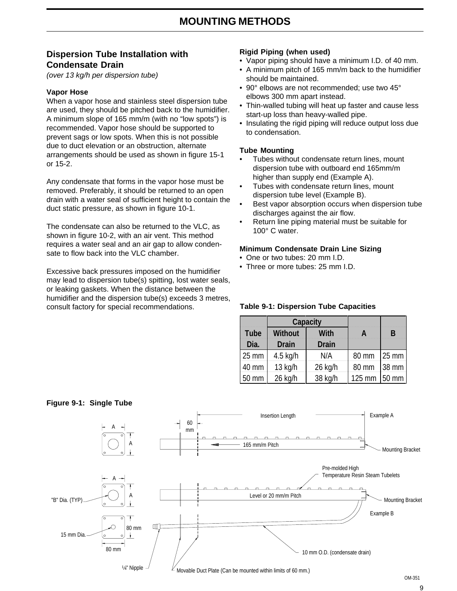### **Dispersion Tube Installation with Condensate Drain**

(over 13 kg/h per dispersion tube)

#### **Vapor Hose**

When a vapor hose and stainless steel dispersion tube are used, they should be pitched back to the humidifier. A minimum slope of 165 mm/m (with no "low spots") is recommended. Vapor hose should be supported to prevent sags or low spots. When this is not possible due to duct elevation or an obstruction, alternate arrangements should be used as shown in figure 15-1 or 15-2.

Any condensate that forms in the vapor hose must be removed. Preferably, it should be returned to an open drain with a water seal of sufficient height to contain the duct static pressure, as shown in figure 10-1.

The condensate can also be returned to the VLC, as shown in figure 10-2, with an air vent. This method requires a water seal and an air gap to allow condensate to flow back into the VLC chamber.

Excessive back pressures imposed on the humidifier may lead to dispersion tube(s) spitting, lost water seals, or leaking gaskets. When the distance between the humidifier and the dispersion tube(s) exceeds 3 metres, consult factory for special recommendations.

#### **Rigid Piping (when used)**

- Vapor piping should have a minimum I.D. of 40 mm.
- A minimum pitch of 165 mm/m back to the humidifier should be maintained.
- 90° elbows are not recommended; use two 45° elbows 300 mm apart instead.
- Thin-walled tubing will heat up faster and cause less start-up loss than heavy-walled pipe.
- Insulating the rigid piping will reduce output loss due to condensation.

#### **Tube Mounting**

- Tubes without condensate return lines, mount dispersion tube with outboard end 165mm/m higher than supply end (Example A).
- Tubes with condensate return lines, mount dispersion tube level (Example B).
- Best vapor absorption occurs when dispersion tube discharges against the air flow.
- Return line piping material must be suitable for 100° C water.

#### **Minimum Condensate Drain Line Sizing**

- One or two tubes: 20 mm I.D.
- Three or more tubes: 25 mm I.D.

#### **Table 9-1: Dispersion Tube Capacities**

|            |                         | Capacity      |        |       |
|------------|-------------------------|---------------|--------|-------|
| Tube<br>DĦ | <b>Without</b><br>Drain | Wilh<br>Drain | W      | B     |
| 25 mm      | 4.5 kg/h                | N/A           | 80 mm  | 25 mm |
| 40 mm      | $13$ kg/h               | 26 kg/h       | 80 mm  | 38 mm |
| 50 mm      | 26 kg/h                 | 38 kg/h       | 125 mm | 50 mm |



#### **Figure 9-1: Single Tube**

9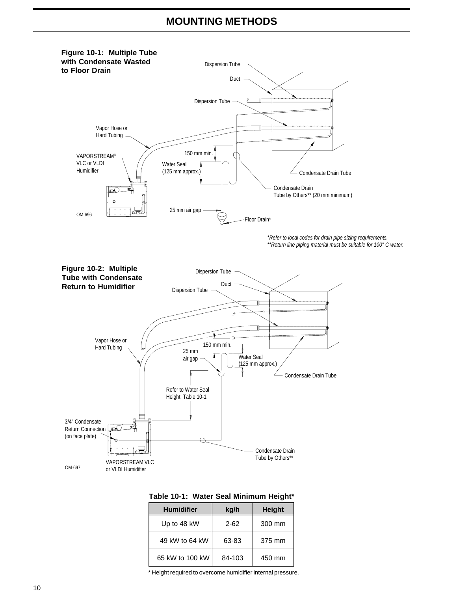## **MOUNTING METHODS**



| Table 10-1: Water Seal Minimum Height* |  |  |  |  |
|----------------------------------------|--|--|--|--|
|----------------------------------------|--|--|--|--|

| <b>Humidifier</b> | kg/h   | <b>Height</b> |
|-------------------|--------|---------------|
| Up to 48 kW       | 2-62   | 300 mm        |
| 49 kW to 64 kW    | 63-83  | 375 mm        |
| 65 kW to 100 kW   | 84-103 | 450 mm        |

\* Height required to overcome humidifier internal pressure.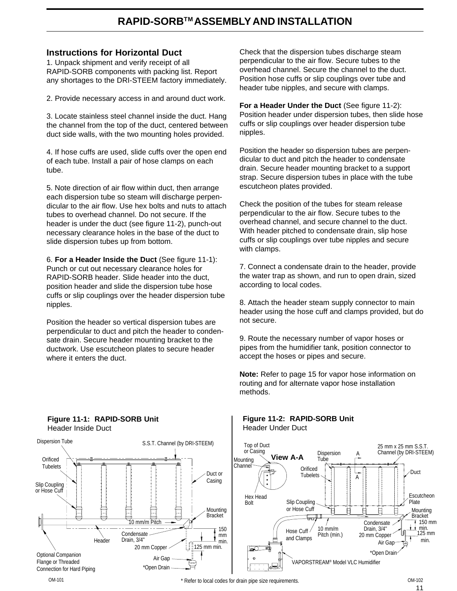## **RAPID-SORBTM ASSEMBLY AND INSTALLATION**

#### **Instructions for Horizontal Duct**

1. Unpack shipment and verify receipt of all RAPID-SORB components with packing list. Report any shortages to the DRI-STEEM factory immediately.

2. Provide necessary access in and around duct work.

3. Locate stainless steel channel inside the duct. Hang the channel from the top of the duct, centered between duct side walls, with the two mounting holes provided.

4. If hose cuffs are used, slide cuffs over the open end of each tube. Install a pair of hose clamps on each tube.

5. Note direction of air flow within duct, then arrange each dispersion tube so steam will discharge perpendicular to the air flow. Use hex bolts and nuts to attach tubes to overhead channel. Do not secure. If the header is under the duct (see figure 11-2), punch-out necessary clearance holes in the base of the duct to slide dispersion tubes up from bottom.

6. **For a Header Inside the Duct** (See figure 11-1): Punch or cut out necessary clearance holes for RAPID-SORB header. Slide header into the duct, position header and slide the dispersion tube hose cuffs or slip couplings over the header dispersion tube nipples.

Position the header so vertical dispersion tubes are perpendicular to duct and pitch the header to condensate drain. Secure header mounting bracket to the ductwork. Use escutcheon plates to secure header where it enters the duct.

Check that the dispersion tubes discharge steam perpendicular to the air flow. Secure tubes to the overhead channel. Secure the channel to the duct. Position hose cuffs or slip couplings over tube and header tube nipples, and secure with clamps.

**For a Header Under the Duct** (See figure 11-2): Position header under dispersion tubes, then slide hose cuffs or slip couplings over header dispersion tube nipples.

Position the header so dispersion tubes are perpendicular to duct and pitch the header to condensate drain. Secure header mounting bracket to a support strap. Secure dispersion tubes in place with the tube escutcheon plates provided.

Check the position of the tubes for steam release perpendicular to the air flow. Secure tubes to the overhead channel, and secure channel to the duct. With header pitched to condensate drain, slip hose cuffs or slip couplings over tube nipples and secure with clamps.

7. Connect a condensate drain to the header, provide the water trap as shown, and run to open drain, sized according to local codes.

8. Attach the header steam supply connector to main header using the hose cuff and clamps provided, but do not secure.

9. Route the necessary number of vapor hoses or pipes from the humidifier tank, position connector to accept the hoses or pipes and secure.

**Note:** Refer to page 15 for vapor hose information on routing and for alternate vapor hose installation methods.

**Figure 11-2: RAPID-SORB Unit**



#### **Figure 11-1: RAPID-SORB Unit** Header Inside Duct

#### OM-101 **EXECUTE:** The state of the local codes for drain pipe size requirements.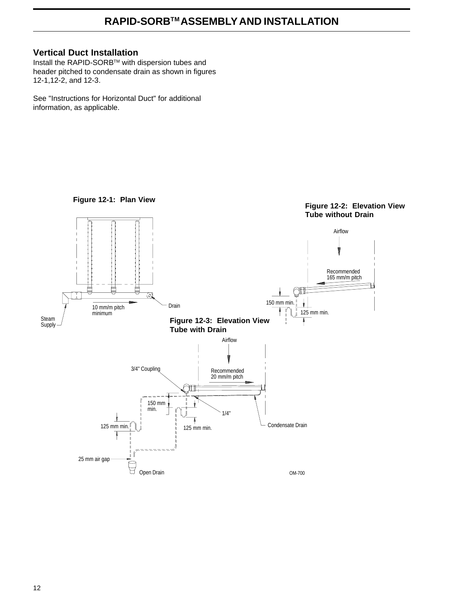## **RAPID-SORBTM ASSEMBLY AND INSTALLATION**

#### **Vertical Duct Installation**

Install the RAPID-SORB™ with dispersion tubes and header pitched to condensate drain as shown in figures 12-1,12-2, and 12-3.

See "Instructions for Horizontal Duct" for additional information, as applicable.



12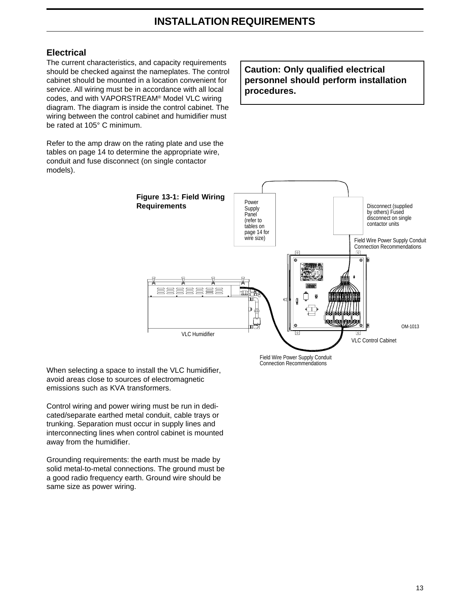### **Electrical**

The current characteristics, and capacity requirements should be checked against the nameplates. The control cabinet should be mounted in a location convenient for service. All wiring must be in accordance with all local codes, and with VAPORSTREAM® Model VLC wiring diagram. The diagram is inside the control cabinet. The wiring between the control cabinet and humidifier must be rated at 105° C minimum.

Refer to the amp draw on the rating plate and use the tables on page 14 to determine the appropriate wire, conduit and fuse disconnect (on single contactor models).

**Caution: Only qualified electrical personnel should perform installation procedures.**



Field Wire Power Supply Conduit Connection Recommendations

When selecting a space to install the VLC humidifier, avoid areas close to sources of electromagnetic emissions such as KVA transformers.

Control wiring and power wiring must be run in dedicated/separate earthed metal conduit, cable trays or trunking. Separation must occur in supply lines and interconnecting lines when control cabinet is mounted away from the humidifier.

Grounding requirements: the earth must be made by solid metal-to-metal connections. The ground must be a good radio frequency earth. Ground wire should be same size as power wiring.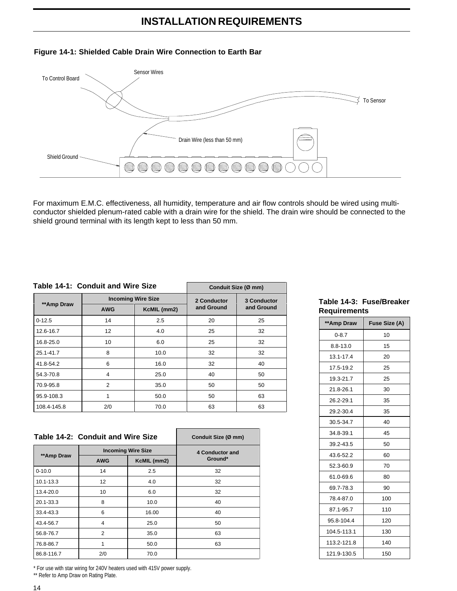## **INSTALLATION REQUIREMENTS**



#### **Figure 14-1: Shielded Cable Drain Wire Connection to Earth Bar**

For maximum E.M.C. effectiveness, all humidity, temperature and air flow controls should be wired using multiconductor shielded plenum-rated cable with a drain wire for the shield. The drain wire should be connected to the shield ground terminal with its length kept to less than 50 mm.

#### **Table 14-1: Conduit and Wire Size**

|             | Table 14-1: Conduit and Wire Size | Conduit Size (Ø mm)       |             |                           |  |
|-------------|-----------------------------------|---------------------------|-------------|---------------------------|--|
|             |                                   | <b>Incoming Wire Size</b> | 2 Conductor | 3 Conductor<br>and Ground |  |
| **Amp Draw  | <b>AWG</b>                        | KcMIL (mm2)               | and Ground  |                           |  |
| $0-12.5$    | 14                                | 2.5                       | 20          | 25                        |  |
| 12.6-16.7   | 12                                | 4.0                       | 25          | 32                        |  |
| 16.8-25.0   | 10                                | 6.0                       | 25          | 32                        |  |
| 25.1-41.7   | 8                                 | 10.0                      | 32          | 32                        |  |
| 41.8-54.2   | 6                                 | 16.0                      | 32          | 40                        |  |
| 54.3-70.8   | 4                                 | 25.0                      | 40          | 50                        |  |
| 70.9-95.8   | 2                                 | 35.0                      | 50          | 50                        |  |
| 95.9-108.3  |                                   | 50.0                      | 50          | 63                        |  |
| 108.4-145.8 | 2/0                               | 70.0                      | 63          | 63                        |  |

|               | Table 14-2: Conduit and Wire Size | Conduit Size (Ø mm)       |                 |
|---------------|-----------------------------------|---------------------------|-----------------|
|               |                                   |                           |                 |
|               |                                   | <b>Incoming Wire Size</b> | 4 Conductor and |
| **Amp Draw    | KcMIL (mm2)<br><b>AWG</b>         |                           | Ground*         |
| $0 - 10.0$    | 14                                | 2.5                       | 32              |
| $10.1 - 13.3$ | 12                                | 4.0                       | 32              |
| 13.4-20.0     | 10                                | 6.0                       | 32              |
| 20.1-33.3     | 8                                 | 10.0                      | 40              |
| 33.4-43.3     | 6                                 | 16.00                     | 40              |
| 43.4-56.7     | 4                                 | 25.0                      | 50              |
| 56.8-76.7     | $\overline{2}$                    | 35.0                      | 63              |
| 76.8-86.7     | 1                                 | 50.0                      | 63              |
| 86.8-116.7    | 2/0                               | 70.0                      |                 |

**Table 14-3: Fuse/Breaker Requirements**

| **Amp Draw   | Fuse Size (A) |
|--------------|---------------|
| $0 - 8.7$    | 10            |
| $8.8 - 13.0$ | 15            |
| 13.1-17.4    | 20            |
| 17.5-19.2    | 25            |
| 19.3-21.7    | 25            |
| 21.8-26.1    | 30            |
| 26.2-29.1    | 35            |
| 29.2-30.4    | 35            |
| 30.5-34.7    | 40            |
| 34.8-39.1    | 45            |
| 39.2-43.5    | 50            |
| 43.6-52.2    | 60            |
| 52.3-60.9    | 70            |
| 61.0-69.6    | 80            |
| 69.7-78.3    | 90            |
| 78.4-87.0    | 100           |
| 87.1-95.7    | 110           |
| 95.8-104.4   | 120           |
| 104.5-113.1  | 130           |
| 113.2-121.8  | 140           |
| 121.9-130.5  | 150           |

\* For use with star wiring for 240V heaters used with 415V power supply. \*\* Refer to Amp Draw on Rating Plate.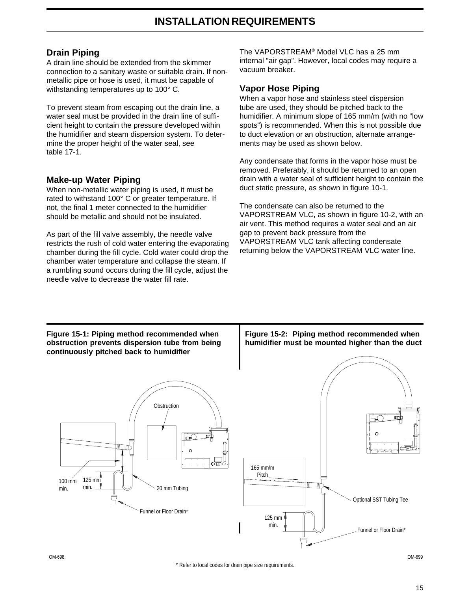#### **Drain Piping**

A drain line should be extended from the skimmer connection to a sanitary waste or suitable drain. If nonmetallic pipe or hose is used, it must be capable of withstanding temperatures up to 100° C.

To prevent steam from escaping out the drain line, a water seal must be provided in the drain line of sufficient height to contain the pressure developed within the humidifier and steam dispersion system. To determine the proper height of the water seal, see table 17-1.

#### **Make-up Water Piping**

When non-metallic water piping is used, it must be rated to withstand 100° C or greater temperature. If not, the final 1 meter connected to the humidifier should be metallic and should not be insulated.

As part of the fill valve assembly, the needle valve restricts the rush of cold water entering the evaporating chamber during the fill cycle. Cold water could drop the chamber water temperature and collapse the steam. If a rumbling sound occurs during the fill cycle, adjust the needle valve to decrease the water fill rate.

The VAPORSTREAM® Model VLC has a 25 mm internal "air gap". However, local codes may require a vacuum breaker.

#### **Vapor Hose Piping**

When a vapor hose and stainless steel dispersion tube are used, they should be pitched back to the humidifier. A minimum slope of 165 mm/m (with no "low spots") is recommended. When this is not possible due to duct elevation or an obstruction, alternate arrangements may be used as shown below.

Any condensate that forms in the vapor hose must be removed. Preferably, it should be returned to an open drain with a water seal of sufficient height to contain the duct static pressure, as shown in figure 10-1.

The condensate can also be returned to the VAPORSTREAM VLC, as shown in figure 10-2, with an air vent. This method requires a water seal and an air gap to prevent back pressure from the VAPORSTREAM VLC tank affecting condensate returning below the VAPORSTREAM VLC water line.

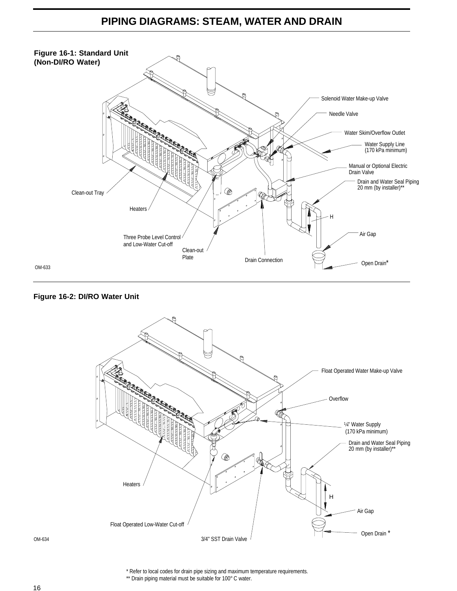## **PIPING DIAGRAMS: STEAM, WATER AND DRAIN**



#### **Figure 16-2: DI/RO Water Unit**



OM-634

\* Refer to local codes for drain pipe sizing and maximum temperature requirements.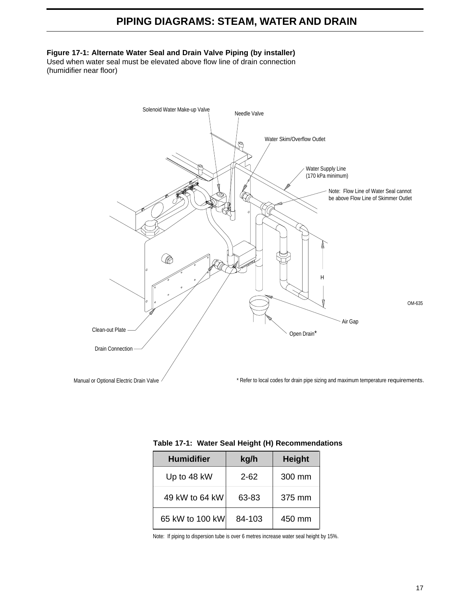## **PIPING DIAGRAMS: STEAM, WATER AND DRAIN**

#### **Figure 17-1: Alternate Water Seal and Drain Valve Piping (by installer)**

Used when water seal must be elevated above flow line of drain connection (humidifier near floor)



| <b>Humidifier</b> | kg/h     | <b>Height</b> |
|-------------------|----------|---------------|
| Up to 48 kW       | $2 - 62$ | 300 mm        |
| 49 kW to 64 kW    | 63-83    | 375 mm        |
| 65 kW to 100 kW   | 84-103   | 450 mm        |

|  | Table 17-1: Water Seal Height (H) Recommendations |  |
|--|---------------------------------------------------|--|

Note: If piping to dispersion tube is over 6 metres increase water seal height by 15%.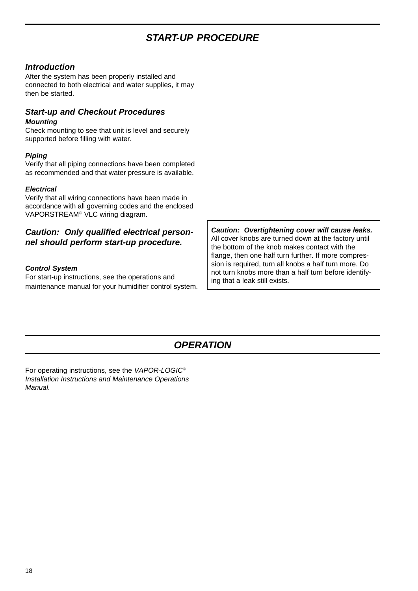#### *Introduction*

After the system has been properly installed and connected to both electrical and water supplies, it may then be started.

#### *Start-up and Checkout Procedures Mounting*

Check mounting to see that unit is level and securely supported before filling with water.

#### *Piping*

Verify that all piping connections have been completed as recommended and that water pressure is available.

#### *Electrical*

Verify that all wiring connections have been made in accordance with all governing codes and the enclosed VAPORSTREAM® VLC wiring diagram.

#### *Caution: Only qualified electrical personnel should perform start-up procedure.*

#### *Control System*

For start-up instructions, see the operations and maintenance manual for your humidifier control system.

*Caution: Overtightening cover will cause leaks.* All cover knobs are turned down at the factory until the bottom of the knob makes contact with the flange, then one half turn further. If more compression is required, turn all knobs a half turn more. Do not turn knobs more than a half turn before identifying that a leak still exists.

## *OPERATION*

For operating instructions, see the *VAPOR-LOGIC® Installation Instructions and Maintenance Operations Manual.*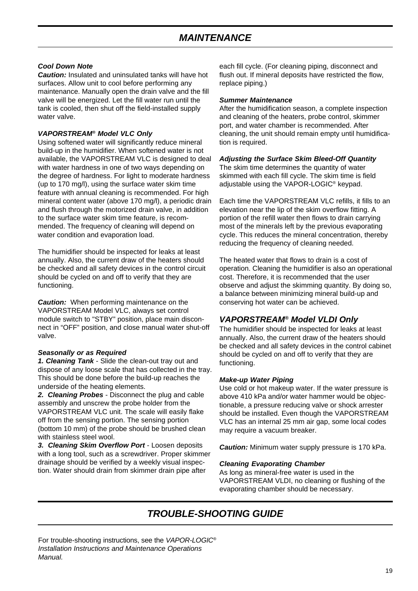#### *Cool Down Note*

*Caution:* Insulated and uninsulated tanks will have hot surfaces. Allow unit to cool before performing any maintenance. Manually open the drain valve and the fill valve will be energized. Let the fill water run until the tank is cooled, then shut off the field-installed supply water valve.

#### *VAPORSTREAM® Model VLC Only*

Using softened water will significantly reduce mineral build-up in the humidifier. When softened water is not available, the VAPORSTREAM VLC is designed to deal with water hardness in one of two ways depending on the degree of hardness. For light to moderate hardness (up to 170 mg/l), using the surface water skim time feature with annual cleaning is recommended. For high mineral content water (above 170 mg/l), a periodic drain and flush through the motorized drain valve, in addition to the surface water skim time feature, is recommended. The frequency of cleaning will depend on water condition and evaporation load.

The humidifier should be inspected for leaks at least annually. Also, the current draw of the heaters should be checked and all safety devices in the control circuit should be cycled on and off to verify that they are functioning.

*Caution:* When performing maintenance on the VAPORSTREAM Model VLC, always set control module switch to "STBY" position, place main disconnect in "OFF" position, and close manual water shut-off valve.

#### *Seasonally or as Required*

*1. Cleaning Tank* - Slide the clean-out tray out and dispose of any loose scale that has collected in the tray. This should be done before the build-up reaches the underside of the heating elements.

*2. Cleaning Probes* - Disconnect the plug and cable assembly and unscrew the probe holder from the VAPORSTREAM VLC unit. The scale will easily flake off from the sensing portion. The sensing portion (bottom 10 mm) of the probe should be brushed clean with stainless steel wool.

*3. Cleaning Skim Overflow Port* - Loosen deposits with a long tool, such as a screwdriver. Proper skimmer drainage should be verified by a weekly visual inspection. Water should drain from skimmer drain pipe after

each fill cycle. (For cleaning piping, disconnect and flush out. If mineral deposits have restricted the flow, replace piping.)

#### *Summer Maintenance*

After the humidification season, a complete inspection and cleaning of the heaters, probe control, skimmer port, and water chamber is recommended. After cleaning, the unit should remain empty until humidification is required.

#### *Adjusting the Surface Skim Bleed-Off Quantity*

The skim time determines the quantity of water skimmed with each fill cycle. The skim time is field adjustable using the VAPOR-LOGIC® keypad.

Each time the VAPORSTREAM VLC refills, it fills to an elevation near the lip of the skim overflow fitting. A portion of the refill water then flows to drain carrying most of the minerals left by the previous evaporating cycle. This reduces the mineral concentration, thereby reducing the frequency of cleaning needed.

The heated water that flows to drain is a cost of operation. Cleaning the humidifier is also an operational cost. Therefore, it is recommended that the user observe and adjust the skimming quantity. By doing so, a balance between minimizing mineral build-up and conserving hot water can be achieved.

#### *VAPORSTREAM® Model VLDI Only*

The humidifier should be inspected for leaks at least annually. Also, the current draw of the heaters should be checked and all safety devices in the control cabinet should be cycled on and off to verify that they are functioning.

#### *Make-up Water Piping*

Use cold or hot makeup water. If the water pressure is above 410 kPa and/or water hammer would be objectionable, a pressure reducing valve or shock arrester should be installed. Even though the VAPORSTREAM VLC has an internal 25 mm air gap, some local codes may require a vacuum breaker.

*Caution:* Minimum water supply pressure is 170 kPa.

#### *Cleaning Evaporating Chamber*

As long as mineral-free water is used in the VAPORSTREAM VLDI, no cleaning or flushing of the evaporating chamber should be necessary.

## *TROUBLE-SHOOTING GUIDE*

For trouble-shooting instructions, see the *VAPOR-LOGIC® Installation Instructions and Maintenance Operations Manual.*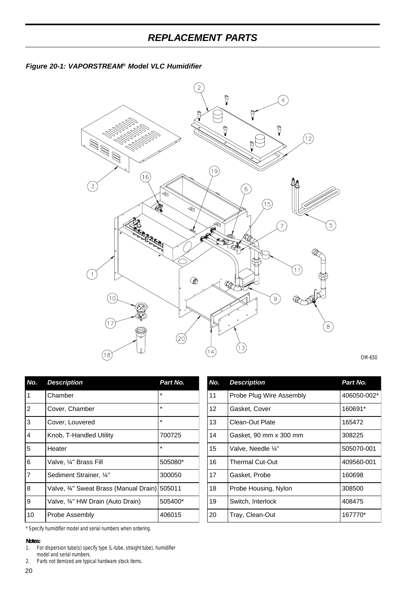



OM-650

| No.            | <b>Description</b>                           | Part No. |
|----------------|----------------------------------------------|----------|
| 1              | Chamber                                      | $\star$  |
| $\overline{2}$ | Cover, Chamber                               | $\star$  |
| 3              | Cover, Louvered                              | $\star$  |
| 4              | Knob, T-Handled Utility                      | 700725   |
| 5              | Heater                                       | $\star$  |
| 6              | Valve, 1/4" Brass Fill                       | 505080*  |
| $\overline{7}$ | Sediment Strainer, 1/4"                      | 300050   |
| 8              | Valve, 34" Sweat Brass (Manual Drain) 505011 |          |
| 9              | Valve, 3⁄4" HW Drain (Auto Drain)            | 505400*  |
| 10             | Probe Assembly                               | 406015   |

| No. | <b>Description</b>       | Part No.    |
|-----|--------------------------|-------------|
| 11  | Probe Plug Wire Assembly | 406050-002* |
| 12  | Gasket, Cover            | 160691*     |
| 13  | Clean-Out Plate          | 165472      |
| 14  | Gasket, 90 mm x 300 mm   | 308225      |
| 15  | Valve, Needle 1/4"       | 505070-001  |
| 16  | <b>Thermal Cut-Out</b>   | 409560-001  |
| 17  | Gasket, Probe            | 160698      |
| 18  | Probe Housing, Nylon     | 308500      |
| 19  | Switch, Interlock        | 408475      |
| 20  | Tray, Clean-Out          | 167770*     |

\* Specify humidifier model and serial numbers when ordering.

*Notes:*

<sup>1.</sup> For dispersion tube(s) specify type (L-tube, straight tube), humidifier model and serial numbers.

<sup>2.</sup> Parts not itemized are typical hardware stock items.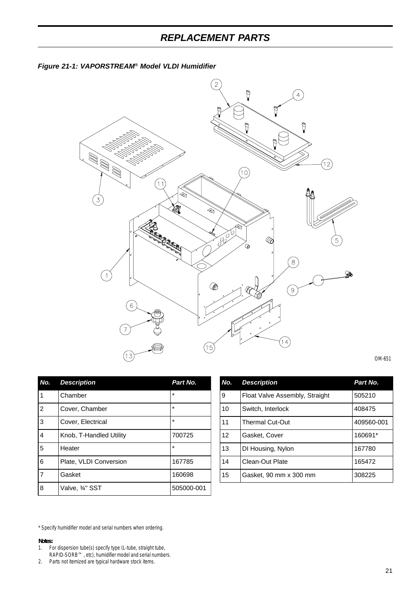## *REPLACEMENT PARTS*





| OM-651 |  |
|--------|--|
|        |  |

| No.            | <b>Description</b>      | Part No.   |
|----------------|-------------------------|------------|
| 1              | Chamber                 | $\star$    |
| $\overline{2}$ | Cover, Chamber          | $\star$    |
| 3              | Cover, Electrical       | $\star$    |
| $\overline{4}$ | Knob, T-Handled Utility | 700725     |
| 5              | Heater                  | $\star$    |
| 6              | Plate, VLDI Conversion  | 167785     |
| $\overline{7}$ | Gasket                  | 160698     |
| 8              | Valve, ¾" SST           | 505000-001 |

| No.             | <b>Description</b>             | Part No.   |
|-----------------|--------------------------------|------------|
| 9               | Float Valve Assembly, Straight | 505210     |
| 10              | Switch, Interlock              | 408475     |
| 11              | <b>Thermal Cut-Out</b>         | 409560-001 |
| 12 <sup>2</sup> | Gasket, Cover                  | 160691*    |
| 13              | DI Housing, Nylon              | 167780     |
| 14              | Clean-Out Plate                | 165472     |
| 15              | Gasket, 90 mm x 300 mm         | 308225     |

\* Specify humidifier model and serial numbers when ordering.

- *Notes:*<br>1. Fo 1. For dispersion tube(s) specify type (L-tube, straight tube,
- RAPID-SORB™, etc), humidifier model and serial numbers.

2. Parts not itemized are typical hardware stock items.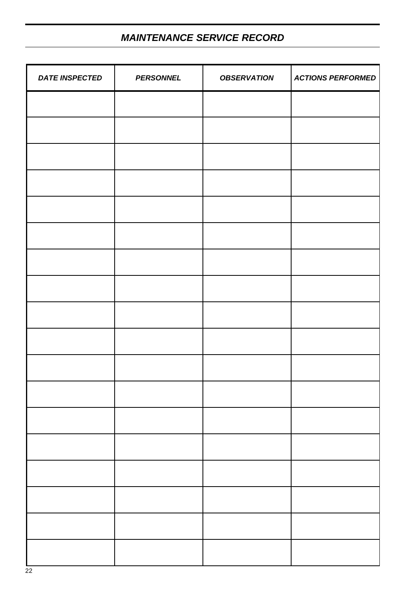## *MAINTENANCE SERVICE RECORD*

| <b>DATE INSPECTED</b> | <b>PERSONNEL</b> | <b>OBSERVATION</b> | <b>ACTIONS PERFORMED</b> |
|-----------------------|------------------|--------------------|--------------------------|
|                       |                  |                    |                          |
|                       |                  |                    |                          |
|                       |                  |                    |                          |
|                       |                  |                    |                          |
|                       |                  |                    |                          |
|                       |                  |                    |                          |
|                       |                  |                    |                          |
|                       |                  |                    |                          |
|                       |                  |                    |                          |
|                       |                  |                    |                          |
|                       |                  |                    |                          |
|                       |                  |                    |                          |
|                       |                  |                    |                          |
|                       |                  |                    |                          |
|                       |                  |                    |                          |
|                       |                  |                    |                          |
|                       |                  |                    |                          |
|                       |                  |                    |                          |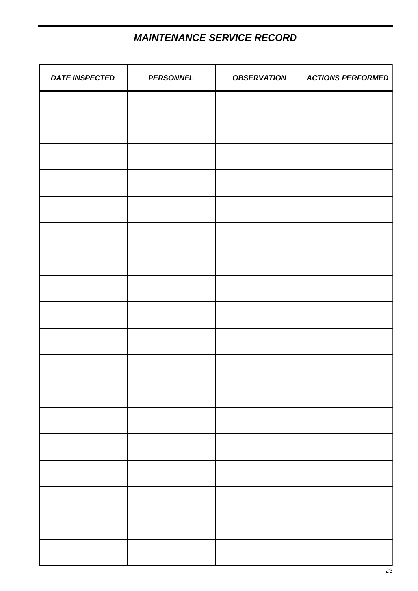## *MAINTENANCE SERVICE RECORD*

| <b>DATE INSPECTED</b> | <b>PERSONNEL</b> | <b>OBSERVATION</b> | <b>ACTIONS PERFORMED</b> |
|-----------------------|------------------|--------------------|--------------------------|
|                       |                  |                    |                          |
|                       |                  |                    |                          |
|                       |                  |                    |                          |
|                       |                  |                    |                          |
|                       |                  |                    |                          |
|                       |                  |                    |                          |
|                       |                  |                    |                          |
|                       |                  |                    |                          |
|                       |                  |                    |                          |
|                       |                  |                    |                          |
|                       |                  |                    |                          |
|                       |                  |                    |                          |
|                       |                  |                    |                          |
|                       |                  |                    |                          |
|                       |                  |                    |                          |
|                       |                  |                    |                          |
|                       |                  |                    |                          |
|                       |                  |                    |                          |